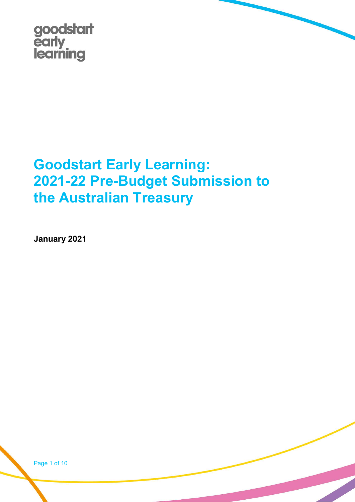

# Goodstart Early Learning: 2021-22 Pre-Budget Submission to the Australian Treasury

January 2021

Page 1 of 10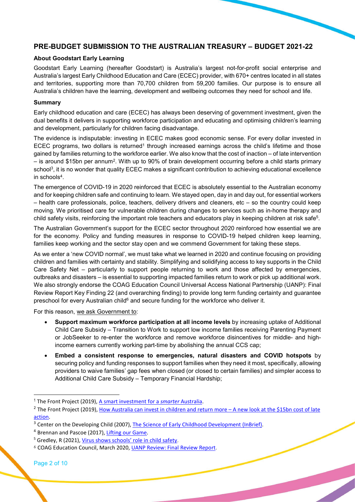## PRE-BUDGET SUBMISSION TO THE AUSTRALIAN TREASURY – BUDGET 2021-22

#### About Goodstart Early Learning

Goodstart Early Learning (hereafter Goodstart) is Australia's largest not-for-profit social enterprise and Australia's largest Early Childhood Education and Care (ECEC) provider, with 670+ centres located in all states and territories, supporting more than 70,700 children from 59,200 families. Our purpose is to ensure all Australia's children have the learning, development and wellbeing outcomes they need for school and life.

#### Summary

Early childhood education and care (ECEC) has always been deserving of government investment, given the dual benefits it delivers in supporting workforce participation and educating and optimising children's learning and development, particularly for children facing disadvantage.

The evidence is indisputable: investing in ECEC makes good economic sense. For every dollar invested in ECEC programs, two dollars is returned<sup>1</sup> through increased earnings across the child's lifetime and those gained by families returning to the workforce earlier. We also know that the cost of inaction – of late intervention – is around \$15bn per annum<sup>2</sup> . With up to 90% of brain development occurring before a child starts primary school<sup>3</sup>, it is no wonder that quality ECEC makes a significant contribution to achieving educational excellence in schools<sup>4</sup> .

The emergence of COVID-19 in 2020 reinforced that ECEC is absolutely essential to the Australian economy and for keeping children safe and continuing to learn. We stayed open, day in and day out, for essential workers – health care professionals, police, teachers, delivery drivers and cleaners, etc – so the country could keep moving. We prioritised care for vulnerable children during changes to services such as in-home therapy and child safety visits, reinforcing the important role teachers and educators play in keeping children at risk safe<sup>5</sup>.

The Australian Government's support for the ECEC sector throughout 2020 reinforced how essential we are for the economy. Policy and funding measures in response to COVID-19 helped children keep learning, families keep working and the sector stay open and we commend Government for taking these steps.

As we enter a 'new COVID normal', we must take what we learned in 2020 and continue focusing on providing children and families with certainty and stability. Simplifying and solidifying access to key supports in the Child Care Safety Net – particularly to support people returning to work and those affected by emergencies, outbreaks and disasters – is essential to supporting impacted families return to work or pick up additional work. We also strongly endorse the COAG Education Council Universal Access National Partnership (UANP): Final Review Report Key Finding 22 (and overarching finding) to provide long term funding certainty and guarantee preschool for every Australian child<sup>6</sup> and secure funding for the workforce who deliver it.

For this reason, we ask Government to:

- Support maximum workforce participation at all income levels by increasing uptake of Additional Child Care Subsidy – Transition to Work to support low income families receiving Parenting Payment or JobSeeker to re-enter the workforce and remove workforce disincentives for middle- and highincome earners currently working part-time by abolishing the annual CCS cap;
- Embed a consistent response to emergencies, natural disasters and COVID hotspots by securing policy and funding responses to support families when they need it most, specifically, allowing providers to waive families' gap fees when closed (or closed to certain families) and simpler access to Additional Child Care Subsidy – Temporary Financial Hardship;

<sup>&</sup>lt;sup>1</sup> The Front Project (2019), A smart investment for a smarter Australia.

<sup>&</sup>lt;sup>2</sup> The Front Project (2019), How Australia can invest in children and return more – A new look at the \$15bn cost of late action.

<sup>&</sup>lt;sup>3</sup> Center on the Developing Child (2007), The Science of Early Childhood Development (InBrief).

<sup>4</sup> Brennan and Pascoe (2017), Lifting our Game.

<sup>&</sup>lt;sup>5</sup> Gredley, R (2021), Virus shows schools' role in child safety.

<sup>6</sup> COAG Education Council, March 2020, UANP Review: Final Review Report.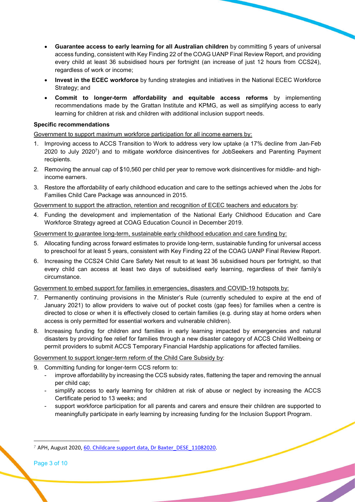- Guarantee access to early learning for all Australian children by committing 5 years of universal access funding, consistent with Key Finding 22 of the COAG UANP Final Review Report, and providing every child at least 36 subsidised hours per fortnight (an increase of just 12 hours from CCS24), regardless of work or income;
- Invest in the ECEC workforce by funding strategies and initiatives in the National ECEC Workforce Strategy; and
- Commit to longer-term affordability and equitable access reforms by implementing recommendations made by the Grattan Institute and KPMG, as well as simplifying access to early learning for children at risk and children with additional inclusion support needs.

## Specific recommendations

Government to support maximum workforce participation for all income earners by:

- 1. Improving access to ACCS Transition to Work to address very low uptake (a 17% decline from Jan-Feb 2020 to July 2020<sup>7</sup>) and to mitigate workforce disincentives for JobSeekers and Parenting Payment recipients.
- 2. Removing the annual cap of \$10,560 per child per year to remove work disincentives for middle- and highincome earners.
- 3. Restore the affordability of early childhood education and care to the settings achieved when the Jobs for Families Child Care Package was announced in 2015.

## Government to support the attraction, retention and recognition of ECEC teachers and educators by:

4. Funding the development and implementation of the National Early Childhood Education and Care Workforce Strategy agreed at COAG Education Council in December 2019.

## Government to guarantee long-term, sustainable early childhood education and care funding by:

- 5. Allocating funding across forward estimates to provide long-term, sustainable funding for universal access to preschool for at least 5 years, consistent with Key Finding 22 of the COAG UANP Final Review Report.
- 6. Increasing the CCS24 Child Care Safety Net result to at least 36 subsidised hours per fortnight, so that every child can access at least two days of subsidised early learning, regardless of their family's circumstance.

## Government to embed support for families in emergencies, disasters and COVID-19 hotspots by:

- 7. Permanently continuing provisions in the Minister's Rule (currently scheduled to expire at the end of January 2021) to allow providers to waive out of pocket costs (gap fees) for families when a centre is directed to close or when it is effectively closed to certain families (e.g. during stay at home orders when access is only permitted for essential workers and vulnerable children).
- 8. Increasing funding for children and families in early learning impacted by emergencies and natural disasters by providing fee relief for families through a new disaster category of ACCS Child Wellbeing or permit providers to submit ACCS Temporary Financial Hardship applications for affected families.

## Government to support longer-term reform of the Child Care Subsidy by:

- 9. Committing funding for longer-term CCS reform to:
	- improve affordability by increasing the CCS subsidy rates, flattening the taper and removing the annual per child cap;
	- simplify access to early learning for children at risk of abuse or neglect by increasing the ACCS Certificate period to 13 weeks; and
	- support workforce participation for all parents and carers and ensure their children are supported to meaningfully participate in early learning by increasing funding for the Inclusion Support Program.

Page 3 of 10

<sup>&</sup>lt;sup>7</sup> APH, August 2020, 60. Childcare support data, Dr Baxter\_DESE\_11082020.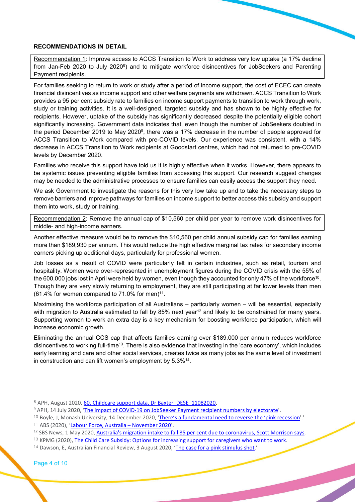#### RECOMMENDATIONS IN DETAIL

Recommendation 1: Improve access to ACCS Transition to Work to address very low uptake (a 17% decline from Jan-Feb 2020 to July 2020 $^{8}$ ) and to mitigate workforce disincentives for JobSeekers and Parenting Payment recipients.

For families seeking to return to work or study after a period of income support, the cost of ECEC can create financial disincentives as income support and other welfare payments are withdrawn. ACCS Transition to Work provides a 95 per cent subsidy rate to families on income support payments to transition to work through work, study or training activities. It is a well-designed, targeted subsidy and has shown to be highly effective for recipients. However, uptake of the subsidy has significantly decreased despite the potentially eligible cohort significantly increasing. Government data indicates that, even though the number of JobSeekers doubled in the period December 2019 to May 2020<sup>9</sup>, there was a 17% decrease in the number of people approved for ACCS Transition to Work compared with pre-COVID levels. Our experience was consistent, with a 14% decrease in ACCS Transition to Work recipients at Goodstart centres, which had not returned to pre-COVID levels by December 2020.

Families who receive this support have told us it is highly effective when it works. However, there appears to be systemic issues preventing eligible families from accessing this support. Our research suggest changes may be needed to the administrative processes to ensure families can easily access the support they need.

We ask Government to investigate the reasons for this very low take up and to take the necessary steps to remove barriers and improve pathways for families on income support to better access this subsidy and support them into work, study or training.

Recommendation 2: Remove the annual cap of \$10,560 per child per year to remove work disincentives for middle- and high-income earners.

Another effective measure would be to remove the \$10,560 per child annual subsidy cap for families earning more than \$189,930 per annum. This would reduce the high effective marginal tax rates for secondary income earners picking up additional days, particularly for professional women.

Job losses as a result of COVID were particularly felt in certain industries, such as retail, tourism and hospitality. Women were over-represented in unemployment figures during the COVID crisis with the 55% of the 600,000 jobs lost in April were held by women, even though they accounted for only 47% of the workforce<sup>10</sup>. Though they are very slowly returning to employment, they are still participating at far lower levels than men  $(61.4\%$  for women compared to 71.0% for men)<sup>11</sup>.

Maximising the workforce participation of all Australians – particularly women – will be essential, especially with migration to Australia estimated to fall by 85% next year<sup>12</sup> and likely to be constrained for many years. Supporting women to work an extra day is a key mechanism for boosting workforce participation, which will increase economic growth.

Eliminating the annual CCS cap that affects families earning over \$189,000 per annum reduces workforce disincentives to working full-time<sup>13</sup>. There is also evidence that investing in the 'care economy', which includes early learning and care and other social services, creates twice as many jobs as the same level of investment in construction and can lift women's employment by 5.3%<sup>14</sup>.

<sup>8</sup> APH, August 2020, 60. Childcare support data, Dr Baxter\_DESE\_11082020.

<sup>&</sup>lt;sup>9</sup> APH, 14 July 2020, 'The impact of COVID-19 on JobSeeker Payment recipient numbers by electorate'.

<sup>&</sup>lt;sup>10</sup> Boyle, J, Monash University, 14 December 2020, 'There's a fundamental need to reverse the 'pink recession'.'

<sup>11</sup> ABS (2020), 'Labour Force, Australia – November 2020'.

<sup>&</sup>lt;sup>12</sup> SBS News, 1 May 2020, Australia's migration intake to fall 85 per cent due to coronavirus, Scott Morrison says.

<sup>&</sup>lt;sup>13</sup> KPMG (2020), The Child Care Subsidy: Options for increasing support for caregivers who want to work.

<sup>14</sup> Dawson, E, Australian Financial Review, 3 August 2020, 'The case for a pink stimulus shot.'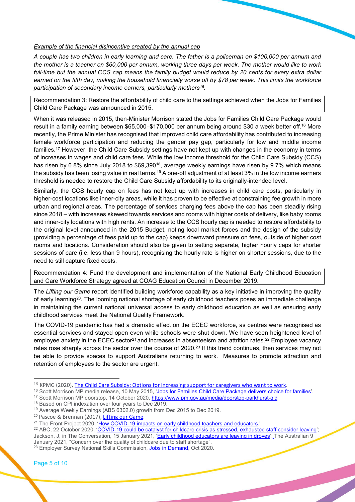#### Example of the financial disincentive created by the annual cap

A couple has two children in early learning and care. The father is a policeman on \$100,000 per annum and the mother is a teacher on \$60,000 per annum, working three days per week. The mother would like to work full-time but the annual CCS cap means the family budget would reduce by 20 cents for every extra dollar earned on the fifth day, making the household financially worse off by \$78 per week. This limits the workforce participation of secondary income earners, particularly mothers<sup>15</sup>.

Recommendation 3: Restore the affordability of child care to the settings achieved when the Jobs for Families Child Care Package was announced in 2015.

When it was released in 2015, then-Minister Morrison stated the Jobs for Families Child Care Package would result in a family earning between \$65,000–\$170,000 per annum being around \$30 a week better off.<sup>16</sup> More recently, the Prime Minister has recognised that improved child care affordability has contributed to increasing female workforce participation and reducing the gender pay gap, particularly for low and middle income families.<sup>17</sup> However, the Child Care Subsidy settings have not kept up with changes in the economy in terms of increases in wages and child care fees. While the low income threshold for the Child Care Subsidy (CCS) has risen by 6.8% since July 2018 to \$69,390<sup>18</sup>, average weekly earnings have risen by 9.7% which means the subsidy has been losing value in real terms.<sup>19</sup> A one-off adjustment of at least 3% in the low income earners threshold is needed to restore the Child Care Subsidy affordability to its originally-intended level.

Similarly, the CCS hourly cap on fees has not kept up with increases in child care costs, particularly in higher-cost locations like inner-city areas, while it has proven to be effective at constraining fee growth in more urban and regional areas. The percentage of services charging fees above the cap has been steadily rising since 2018 – with increases skewed towards services and rooms with higher costs of delivery, like baby rooms and inner-city locations with high rents. An increase to the CCS hourly cap is needed to restore affordability to the original level announced in the 2015 Budget, noting local market forces and the design of the subsidy (providing a percentage of fees paid up to the cap) keeps downward pressure on fees, outside of higher cost rooms and locations. Consideration should also be given to setting separate, higher hourly caps for shorter sessions of care (i.e. less than 9 hours), recognising the hourly rate is higher on shorter sessions, due to the need to still capture fixed costs.

Recommendation 4: Fund the development and implementation of the National Early Childhood Education and Care Workforce Strategy agreed at COAG Education Council in December 2019.

The Lifting our Game report identified building workforce capability as a key initiative in improving the quality of early learning<sup>20</sup>. The looming national shortage of early childhood teachers poses an immediate challenge in maintaining the current national universal access to early childhood education as well as ensuring early childhood services meet the National Quality Framework.

The COVID-19 pandemic has had a dramatic effect on the ECEC workforce, as centres were recognised as essential services and stayed open even while schools were shut down. We have seen heightened level of employee anxiety in the ECEC sector<sup>21</sup> and increases in absenteeism and attrition rates.<sup>22</sup> Employee vacancy rates rose sharply across the sector over the course of 2020.<sup>23</sup> If this trend continues, then services may not be able to provide spaces to support Australians returning to work. Measures to promote attraction and retention of employees to the sector are urgent.

- <sup>16</sup> Scott Morrison MP media release, 10 May 2015, 'Jobs for Families Child Care Package delivers choice for families'.
- <sup>17</sup> Scott Morrison MP doorstop, 14 October 2020, https://www.pm.gov.au/media/doorstop-parkhurst-qld
- <sup>18</sup> Based on CPI indexation over four years to Dec 2019.

<sup>20</sup> Pascoe & Brennan (2017), Lifting our Game.

<sup>15</sup> KPMG (2020), The Child Care Subsidy: Options for increasing support for caregivers who want to work.

<sup>19</sup> Average Weekly Earnings (ABS 6302.0) growth from Dec 2015 to Dec 2019.

<sup>&</sup>lt;sup>21</sup> The Front Project 2020, 'How COVID-19 impacts on early childhood teachers and educators.'

<sup>&</sup>lt;sup>22</sup> ABC, 22 October 2020, 'COVID-19 could be catalyst for childcare crisis as stressed, exhausted staff consider leaving'; Jackson, J, in The Conversation, 15 January 2021, 'Early childhood educators are leaving in droves'; The Australian 9 January 2021, "Concern over the quality of childcare due to staff shortage".

<sup>&</sup>lt;sup>23</sup> Employer Survey National Skills Commission, Jobs in Demand, Oct 2020.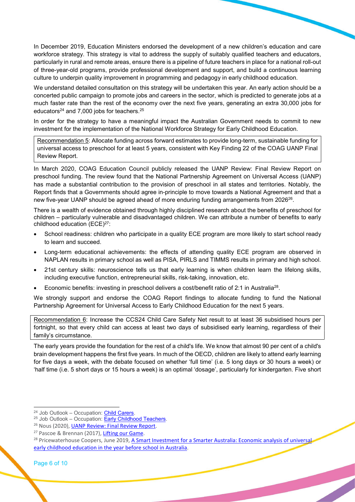In December 2019, Education Ministers endorsed the development of a new children's education and care workforce strategy. This strategy is vital to address the supply of suitably qualified teachers and educators, particularly in rural and remote areas, ensure there is a pipeline of future teachers in place for a national roll-out of three-year-old programs, provide professional development and support, and build a continuous learning culture to underpin quality improvement in programming and pedagogy in early childhood education.

We understand detailed consultation on this strategy will be undertaken this year. An early action should be a concerted public campaign to promote jobs and careers in the sector, which is predicted to generate jobs at a much faster rate than the rest of the economy over the next five years, generating an extra 30,000 jobs for educators<sup>24</sup> and 7,000 jobs for teachers.<sup>25</sup>

In order for the strategy to have a meaningful impact the Australian Government needs to commit to new investment for the implementation of the National Workforce Strategy for Early Childhood Education.

Recommendation 5: Allocate funding across forward estimates to provide long-term, sustainable funding for universal access to preschool for at least 5 years, consistent with Key Finding 22 of the COAG UANP Final Review Report.

In March 2020, COAG Education Council publicly released the UANP Review: Final Review Report on preschool funding. The review found that the National Partnership Agreement on Universal Access (UANP) has made a substantial contribution to the provision of preschool in all states and territories. Notably, the Report finds that a Governments should agree in-principle to move towards a National Agreement and that a new five-year UANP should be agreed ahead of more enduring funding arrangements from 2026<sup>26</sup>.

There is a wealth of evidence obtained through highly disciplined research about the benefits of preschool for children – particularly vulnerable and disadvantaged children. We can attribute a number of benefits to early childhood education (ECE)<sup>27</sup>:

- School readiness: children who participate in a quality ECE program are more likely to start school ready to learn and succeed.
- Long-term educational achievements: the effects of attending quality ECE program are observed in NAPLAN results in primary school as well as PISA, PIRLS and TIMMS results in primary and high school.
- 21st century skills: neuroscience tells us that early learning is when children learn the lifelong skills, including executive function, entrepreneurial skills, risk-taking, innovation, etc.
- Economic benefits: investing in preschool delivers a cost/benefit ratio of 2:1 in Australia<sup>28</sup>.

We strongly support and endorse the COAG Report findings to allocate funding to fund the National Partnership Agreement for Universal Access to Early Childhood Education for the next 5 years.

Recommendation 6: Increase the CCS24 Child Care Safety Net result to at least 36 subsidised hours per fortnight, so that every child can access at least two days of subsidised early learning, regardless of their family's circumstance.

The early years provide the foundation for the rest of a child's life. We know that almost 90 per cent of a child's brain development happens the first five years. In much of the OECD, children are likely to attend early learning for five days a week, with the debate focused on whether 'full time' (i.e. 5 long days or 30 hours a week) or 'half time (i.e. 5 short days or 15 hours a week) is an optimal 'dosage', particularly for kindergarten. Five short

Page 6 of 10

<sup>&</sup>lt;sup>24</sup> Job Outlook – Occupation: Child Carers.

 $25$  Job Outlook – Occupation: **Early Childhood Teachers.** 

<sup>&</sup>lt;sup>26</sup> Nous (2020), UANP Review: Final Review Report.

<sup>&</sup>lt;sup>27</sup> Pascoe & Brennan (2017), Lifting our Game.

<sup>&</sup>lt;sup>28</sup> Pricewaterhouse Coopers, June 2019, A Smart Investment for a Smarter Australia: Economic analysis of universa early childhood education in the year before school in Australia.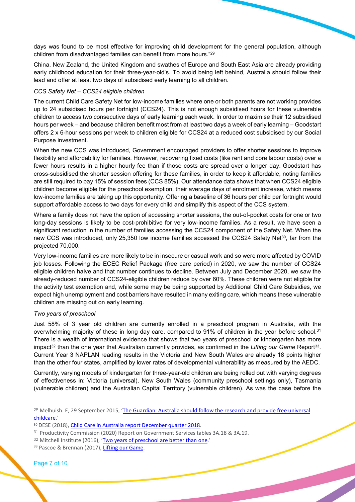days was found to be most effective for improving child development for the general population, although children from disadvantaged families can benefit from more hours."<sup>29</sup>

China, New Zealand, the United Kingdom and swathes of Europe and South East Asia are already providing early childhood education for their three-year-old's. To avoid being left behind, Australia should follow their lead and offer at least two days of subsidised early learning to all children.

#### CCS Safety Net – CCS24 eligible children

The current Child Care Safety Net for low-income families where one or both parents are not working provides up to 24 subsidised hours per fortnight (CCS24). This is not enough subsidised hours for these vulnerable children to access two consecutive days of early learning each week. In order to maximise their 12 subsidised hours per week – and because children benefit most from at least two days a week of early learning – Goodstart offers 2 x 6-hour sessions per week to children eligible for CCS24 at a reduced cost subsidised by our Social Purpose investment.

When the new CCS was introduced, Government encouraged providers to offer shorter sessions to improve flexibility and affordability for families. However, recovering fixed costs (like rent and core labour costs) over a fewer hours results in a higher hourly fee than if those costs are spread over a longer day. Goodstart has cross-subsidised the shorter session offering for these families, in order to keep it affordable, noting families are still required to pay 15% of session fees (CCS 85%). Our attendance data shows that when CCS24 eligible children become eligible for the preschool exemption, their average days of enrolment increase, which means low-income families are taking up this opportunity. Offering a baseline of 36 hours per child per fortnight would support affordable access to two days for every child and simplify this aspect of the CCS system.

Where a family does not have the option of accessing shorter sessions, the out-of-pocket costs for one or two long-day sessions is likely to be cost-prohibitive for very low-income families. As a result, we have seen a significant reduction in the number of families accessing the CCS24 component of the Safety Net. When the new CCS was introduced, only 25,350 low income families accessed the CCS24 Safety Net<sup>30</sup>, far from the projected 70,000.

Very low-income families are more likely to be in insecure or casual work and so were more affected by COVID job losses. Following the ECEC Relief Package (free care period) in 2020, we saw the number of CCS24 eligible children halve and that number continues to decline. Between July and December 2020, we saw the already-reduced number of CCS24-eligible children reduce by over 60%. These children were not eligible for the activity test exemption and, while some may be being supported by Additional Child Care Subsidies, we expect high unemployment and cost barriers have resulted in many exiting care, which means these vulnerable children are missing out on early learning.

## Two years of preschool

Just 58% of 3 year old children are currently enrolled in a preschool program in Australia, with the overwhelming majority of these in long day care, compared to 91% of children in the year before school.<sup>31</sup> There is a wealth of international evidence that shows that two years of preschool or kindergarten has more impact<sup>32</sup> than the one year that Australian currently provides, as confirmed in the Lifting our Game Report<sup>33</sup>. Current Year 3 NAPLAN reading results in the Victoria and New South Wales are already 18 points higher than the other four states, amplified by lower rates of developmental vulnerability as measured by the AEDC.

Currently, varying models of kindergarten for three-year-old children are being rolled out with varying degrees of effectiveness in: Victoria (universal), New South Wales (community preschool settings only), Tasmania (vulnerable children) and the Australian Capital Territory (vulnerable children). As was the case before the

<sup>&</sup>lt;sup>29</sup> Melhuish. E, 29 September 2015, 'The Guardian: Australia should follow the research and provide free universal childcare.'

<sup>30</sup> DESE (2018), Child Care in Australia report December quarter 2018.

<sup>31</sup> Productivity Commission (2020) Report on Government Services tables 3A.18 & 3A.19.

<sup>&</sup>lt;sup>32</sup> Mitchell Institute (2016), 'Two years of preschool are better than one.'

<sup>33</sup> Pascoe & Brennan (2017), Lifting our Game.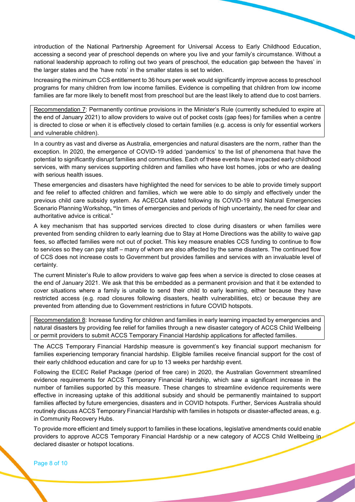introduction of the National Partnership Agreement for Universal Access to Early Childhood Education, accessing a second year of preschool depends on where you live and your family's circumstance. Without a national leadership approach to rolling out two years of preschool, the education gap between the 'haves' in the larger states and the 'have nots' in the smaller states is set to widen.

Increasing the minimum CCS entitlement to 36 hours per week would significantly improve access to preschool programs for many children from low income families. Evidence is compelling that children from low income families are far more likely to benefit most from preschool but are the least likely to attend due to cost barriers.

Recommendation 7: Permanently continue provisions in the Minister's Rule (currently scheduled to expire at the end of January 2021) to allow providers to waive out of pocket costs (gap fees) for families when a centre is directed to close or when it is effectively closed to certain families (e.g. access is only for essential workers and vulnerable children).

In a country as vast and diverse as Australia, emergencies and natural disasters are the norm, rather than the exception. In 2020, the emergence of COVID-19 added 'pandemics' to the list of phenomena that have the potential to significantly disrupt families and communities. Each of these events have impacted early childhood services, with many services supporting children and families who have lost homes, jobs or who are dealing with serious health issues.

These emergencies and disasters have highlighted the need for services to be able to provide timely support and fee relief to affected children and families, which we were able to do simply and effectively under the previous child care subsidy system. As ACECQA stated following its COVID-19 and Natural Emergencies Scenario Planning Workshop, "In times of emergencies and periods of high uncertainty, the need for clear and authoritative advice is critical."

A key mechanism that has supported services directed to close during disasters or when families were prevented from sending children to early learning due to Stay at Home Directions was the ability to waive gap fees, so affected families were not out of pocket. This key measure enables CCS funding to continue to flow to services so they can pay staff – many of whom are also affected by the same disasters. The continued flow of CCS does not increase costs to Government but provides families and services with an invaluable level of certainty.

The current Minister's Rule to allow providers to waive gap fees when a service is directed to close ceases at the end of January 2021. We ask that this be embedded as a permanent provision and that it be extended to cover situations where a family is unable to send their child to early learning, either because they have restricted access (e.g. road closures following disasters, health vulnerabilities, etc) or because they are prevented from attending due to Government restrictions in future COVID hotspots.

Recommendation 8: Increase funding for children and families in early learning impacted by emergencies and natural disasters by providing fee relief for families through a new disaster category of ACCS Child Wellbeing or permit providers to submit ACCS Temporary Financial Hardship applications for affected families.

The ACCS Temporary Financial Hardship measure is government's key financial support mechanism for families experiencing temporary financial hardship. Eligible families receive financial support for the cost of their early childhood education and care for up to 13 weeks per hardship event.

Following the ECEC Relief Package (period of free care) in 2020, the Australian Government streamlined evidence requirements for ACCS Temporary Financial Hardship, which saw a significant increase in the number of families supported by this measure. These changes to streamline evidence requirements were effective in increasing uptake of this additional subsidy and should be permanently maintained to support families affected by future emergencies, disasters and in COVID hotspots. Further, Services Australia should routinely discuss ACCS Temporary Financial Hardship with families in hotspots or disaster-affected areas, e.g. in Community Recovery Hubs.

To provide more efficient and timely support to families in these locations, legislative amendments could enable providers to approve ACCS Temporary Financial Hardship or a new category of ACCS Child Wellbeing in declared disaster or hotspot locations.

Page 8 of 10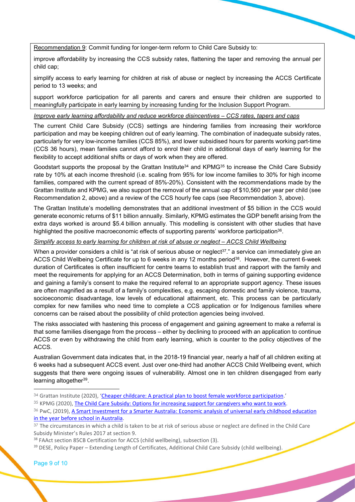Recommendation 9: Commit funding for longer-term reform to Child Care Subsidy to:

improve affordability by increasing the CCS subsidy rates, flattening the taper and removing the annual per child cap;

simplify access to early learning for children at risk of abuse or neglect by increasing the ACCS Certificate period to 13 weeks; and

support workforce participation for all parents and carers and ensure their children are supported to meaningfully participate in early learning by increasing funding for the Inclusion Support Program.

#### Improve early learning affordability and reduce workforce disincentives – CCS rates, tapers and caps

The current Child Care Subsidy (CCS) settings are hindering families from increasing their workforce participation and may be keeping children out of early learning. The combination of inadequate subsidy rates, particularly for very low-income families (CCS 85%), and lower subsidised hours for parents working part-time (CCS 36 hours), mean families cannot afford to enrol their child in additional days of early learning for the flexibility to accept additional shifts or days of work when they are offered.

Goodstart supports the proposal by the Grattan Institute<sup>34</sup> and KPMG<sup>35</sup> to increase the Child Care Subsidy rate by 10% at each income threshold (i.e. scaling from 95% for low income families to 30% for high income families, compared with the current spread of 85%-20%). Consistent with the recommendations made by the Grattan Institute and KPMG, we also support the removal of the annual cap of \$10,560 per year per child (see Recommendation 2, above) and a review of the CCS hourly fee caps (see Recommendation 3, above).

The Grattan Institute's modelling demonstrates that an additional investment of \$5 billion in the CCS would generate economic returns of \$11 billion annually. Similarly, KPMG estimates the GDP benefit arising from the extra days worked is around \$5.4 billion annually. This modelling is consistent with other studies that have highlighted the positive macroeconomic effects of supporting parents' workforce participation<sup>36</sup>.

## Simplify access to early learning for children at risk of abuse or neglect – ACCS Child Wellbeing

When a provider considers a child is "at risk of serious abuse or neglect<sup>37</sup>." a service can immediately give an ACCS Child Wellbeing Certificate for up to 6 weeks in any 12 months period<sup>38</sup>. However, the current 6-week duration of Certificates is often insufficient for centre teams to establish trust and rapport with the family and meet the requirements for applying for an ACCS Determination, both in terms of gaining supporting evidence and gaining a family's consent to make the required referral to an appropriate support agency. These issues are often magnified as a result of a family's complexities, e.g. escaping domestic and family violence, trauma, socioeconomic disadvantage, low levels of educational attainment, etc. This process can be particularly complex for new families who need time to complete a CCS application or for Indigenous families where concerns can be raised about the possibility of child protection agencies being involved.

The risks associated with hastening this process of engagement and gaining agreement to make a referral is that some families disengage from the process – either by declining to proceed with an application to continue ACCS or even by withdrawing the child from early learning, which is counter to the policy objectives of the ACCS.

Australian Government data indicates that, in the 2018-19 financial year, nearly a half of all children exiting at 6 weeks had a subsequent ACCS event. Just over one-third had another ACCS Child Wellbeing event, which suggests that there were ongoing issues of vulnerability. Almost one in ten children disengaged from early learning altogether<sup>39</sup>.

<sup>34</sup> Grattan Institute (2020), 'Cheaper childcare: A practical plan to boost female workforce participation.'

<sup>35</sup> KPMG (2020), The Child Care Subsidy: Options for increasing support for caregivers who want to work.

<sup>36</sup> PwC, (2019), A Smart Investment for a Smarter Australia: Economic analysis of universal early childhood education in the year before school in Australia.

<sup>37</sup> The circumstances in which a child is taken to be at risk of serious abuse or neglect are defined in the Child Care Subsidy Minister's Rules 2017 at section 9.

<sup>&</sup>lt;sup>38</sup> FAAct section 85CB Certification for ACCS (child wellbeing), subsection (3).

<sup>&</sup>lt;sup>39</sup> DESE, Policy Paper – Extending Length of Certificates, Additional Child Care Subsidy (child wellbeing).